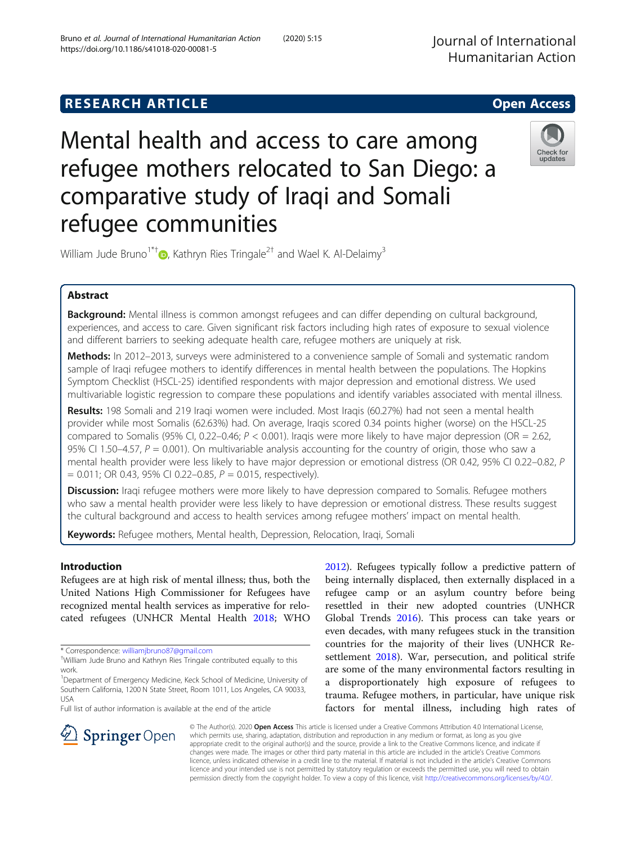# Mental health and access to care among refugee mothers relocated to San Diego: a comparative study of Iraqi and Somali refugee communities

William Jude Bruno<sup>1\*[†](http://orcid.org/0000-0001-9429-6874)</sup> $\bullet$ , Kathryn Ries Tringale<sup>2†</sup> and Wael K. Al-Delaimy<sup>3</sup>

# Abstract

Background: Mental illness is common amongst refugees and can differ depending on cultural background, experiences, and access to care. Given significant risk factors including high rates of exposure to sexual violence and different barriers to seeking adequate health care, refugee mothers are uniquely at risk.

Methods: In 2012-2013, surveys were administered to a convenience sample of Somali and systematic random sample of Iraqi refugee mothers to identify differences in mental health between the populations. The Hopkins Symptom Checklist (HSCL-25) identified respondents with major depression and emotional distress. We used multivariable logistic regression to compare these populations and identify variables associated with mental illness.

Results: 198 Somali and 219 Iraqi women were included. Most Iraqis (60.27%) had not seen a mental health provider while most Somalis (62.63%) had. On average, Iraqis scored 0.34 points higher (worse) on the HSCL-25 compared to Somalis (95% CI, 0.22–0.46;  $P < 0.001$ ). Iraqis were more likely to have major depression (OR = 2.62, 95% CI 1.50–4.57,  $P = 0.001$ ). On multivariable analysis accounting for the country of origin, those who saw a mental health provider were less likely to have major depression or emotional distress (OR 0.42, 95% CI 0.22–0.82, P  $= 0.011$ ; OR 0.43, 95% CI 0.22–0.85,  $P = 0.015$ , respectively).

**Discussion:** Iraqi refugee mothers were more likely to have depression compared to Somalis. Refugee mothers who saw a mental health provider were less likely to have depression or emotional distress. These results suggest the cultural background and access to health services among refugee mothers' impact on mental health.

Keywords: Refugee mothers, Mental health, Depression, Relocation, Iraqi, Somali

# Introduction

Refugees are at high risk of mental illness; thus, both the United Nations High Commissioner for Refugees have recognized mental health services as imperative for relocated refugees (UNHCR Mental Health [2018](#page-8-0); WHO

\* Correspondence: [williamjbruno87@gmail.com](mailto:williamjbruno87@gmail.com) †

Full list of author information is available at the end of the article

[2012](#page-9-0)). Refugees typically follow a predictive pattern of being internally displaced, then externally displaced in a refugee camp or an asylum country before being resettled in their new adopted countries (UNHCR Global Trends [2016](#page-8-0)). This process can take years or even decades, with many refugees stuck in the transition countries for the majority of their lives (UNHCR Resettlement [2018\)](#page-8-0). War, persecution, and political strife are some of the many environmental factors resulting in a disproportionately high exposure of refugees to trauma. Refugee mothers, in particular, have unique risk factors for mental illness, including high rates of

© The Author(s). 2020 Open Access This article is licensed under a Creative Commons Attribution 4.0 International License, which permits use, sharing, adaptation, distribution and reproduction in any medium or format, as long as you give appropriate credit to the original author(s) and the source, provide a link to the Creative Commons licence, and indicate if changes were made. The images or other third party material in this article are included in the article's Creative Commons licence, unless indicated otherwise in a credit line to the material. If material is not included in the article's Creative Commons licence and your intended use is not permitted by statutory regulation or exceeds the permitted use, you will need to obtain permission directly from the copyright holder. To view a copy of this licence, visit <http://creativecommons.org/licenses/by/4.0/>.







William Jude Bruno and Kathryn Ries Tringale contributed equally to this work.

<sup>&</sup>lt;sup>1</sup>Department of Emergency Medicine, Keck School of Medicine, University of Southern California, 1200 N State Street, Room 1011, Los Angeles, CA 90033, USA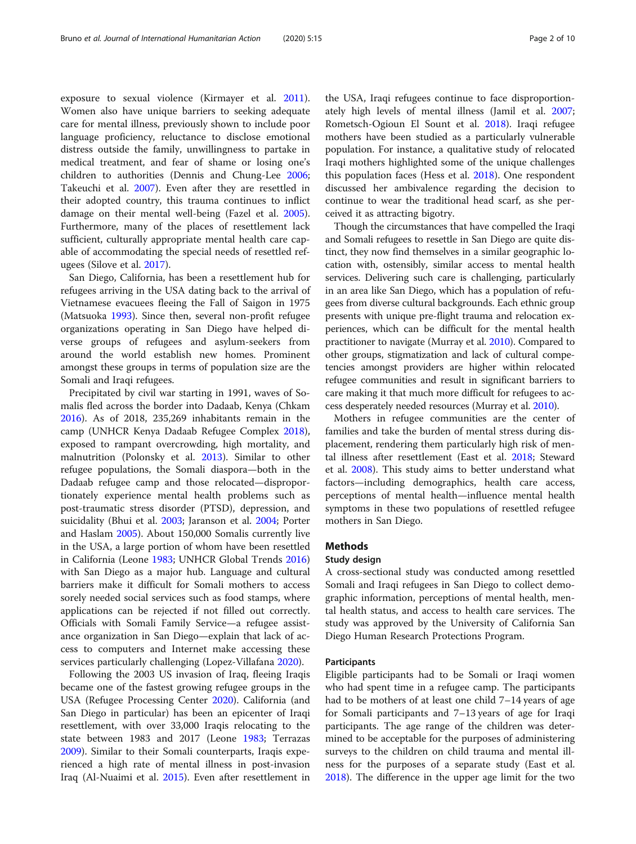exposure to sexual violence (Kirmayer et al. [2011](#page-8-0)). Women also have unique barriers to seeking adequate care for mental illness, previously shown to include poor language proficiency, reluctance to disclose emotional distress outside the family, unwillingness to partake in medical treatment, and fear of shame or losing one's children to authorities (Dennis and Chung-Lee [2006](#page-8-0); Takeuchi et al. [2007](#page-8-0)). Even after they are resettled in their adopted country, this trauma continues to inflict damage on their mental well-being (Fazel et al. [2005](#page-8-0)). Furthermore, many of the places of resettlement lack sufficient, culturally appropriate mental health care capable of accommodating the special needs of resettled refugees (Silove et al. [2017\)](#page-8-0).

San Diego, California, has been a resettlement hub for refugees arriving in the USA dating back to the arrival of Vietnamese evacuees fleeing the Fall of Saigon in 1975 (Matsuoka [1993\)](#page-8-0). Since then, several non-profit refugee organizations operating in San Diego have helped diverse groups of refugees and asylum-seekers from around the world establish new homes. Prominent amongst these groups in terms of population size are the Somali and Iraqi refugees.

Precipitated by civil war starting in 1991, waves of Somalis fled across the border into Dadaab, Kenya (Chkam [2016](#page-8-0)). As of 2018, 235,269 inhabitants remain in the camp (UNHCR Kenya Dadaab Refugee Complex [2018](#page-8-0)), exposed to rampant overcrowding, high mortality, and malnutrition (Polonsky et al. [2013](#page-8-0)). Similar to other refugee populations, the Somali diaspora—both in the Dadaab refugee camp and those relocated—disproportionately experience mental health problems such as post-traumatic stress disorder (PTSD), depression, and suicidality (Bhui et al. [2003;](#page-8-0) Jaranson et al. [2004](#page-8-0); Porter and Haslam [2005\)](#page-8-0). About 150,000 Somalis currently live in the USA, a large portion of whom have been resettled in California (Leone [1983](#page-8-0); UNHCR Global Trends [2016](#page-8-0)) with San Diego as a major hub. Language and cultural barriers make it difficult for Somali mothers to access sorely needed social services such as food stamps, where applications can be rejected if not filled out correctly. Officials with Somali Family Service—a refugee assistance organization in San Diego—explain that lack of access to computers and Internet make accessing these services particularly challenging (Lopez-Villafana [2020](#page-8-0)).

Following the 2003 US invasion of Iraq, fleeing Iraqis became one of the fastest growing refugee groups in the USA (Refugee Processing Center [2020](#page-8-0)). California (and San Diego in particular) has been an epicenter of Iraqi resettlement, with over 33,000 Iraqis relocating to the state between 1983 and 2017 (Leone [1983](#page-8-0); Terrazas [2009](#page-8-0)). Similar to their Somali counterparts, Iraqis experienced a high rate of mental illness in post-invasion Iraq (Al-Nuaimi et al. [2015](#page-8-0)). Even after resettlement in

the USA, Iraqi refugees continue to face disproportionately high levels of mental illness (Jamil et al. [2007](#page-8-0); Rometsch-Ogioun El Sount et al. [2018\)](#page-8-0). Iraqi refugee mothers have been studied as a particularly vulnerable population. For instance, a qualitative study of relocated Iraqi mothers highlighted some of the unique challenges this population faces (Hess et al. [2018](#page-8-0)). One respondent discussed her ambivalence regarding the decision to continue to wear the traditional head scarf, as she perceived it as attracting bigotry.

Though the circumstances that have compelled the Iraqi and Somali refugees to resettle in San Diego are quite distinct, they now find themselves in a similar geographic location with, ostensibly, similar access to mental health services. Delivering such care is challenging, particularly in an area like San Diego, which has a population of refugees from diverse cultural backgrounds. Each ethnic group presents with unique pre-flight trauma and relocation experiences, which can be difficult for the mental health practitioner to navigate (Murray et al. [2010\)](#page-8-0). Compared to other groups, stigmatization and lack of cultural competencies amongst providers are higher within relocated refugee communities and result in significant barriers to care making it that much more difficult for refugees to access desperately needed resources (Murray et al. [2010\)](#page-8-0).

Mothers in refugee communities are the center of families and take the burden of mental stress during displacement, rendering them particularly high risk of mental illness after resettlement (East et al. [2018;](#page-8-0) Steward et al. [2008\)](#page-8-0). This study aims to better understand what factors—including demographics, health care access, perceptions of mental health—influence mental health symptoms in these two populations of resettled refugee mothers in San Diego.

# **Methods**

# Study design

A cross-sectional study was conducted among resettled Somali and Iraqi refugees in San Diego to collect demographic information, perceptions of mental health, mental health status, and access to health care services. The study was approved by the University of California San Diego Human Research Protections Program.

# Participants

Eligible participants had to be Somali or Iraqi women who had spent time in a refugee camp. The participants had to be mothers of at least one child 7–14 years of age for Somali participants and 7–13 years of age for Iraqi participants. The age range of the children was determined to be acceptable for the purposes of administering surveys to the children on child trauma and mental illness for the purposes of a separate study (East et al. [2018](#page-8-0)). The difference in the upper age limit for the two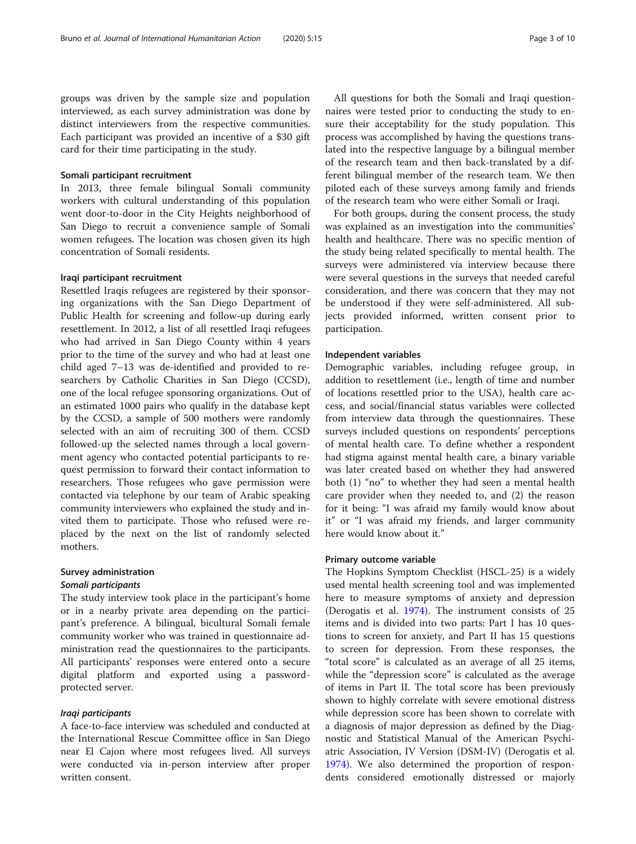groups was driven by the sample size and population interviewed, as each survey administration was done by distinct interviewers from the respective communities. Each participant was provided an incentive of a \$30 gift card for their time participating in the study.

# Somali participant recruitment

In 2013, three female bilingual Somali community workers with cultural understanding of this population went door-to-door in the City Heights neighborhood of San Diego to recruit a convenience sample of Somali women refugees. The location was chosen given its high concentration of Somali residents.

# Iraqi participant recruitment

Resettled Iraqis refugees are registered by their sponsoring organizations with the San Diego Department of Public Health for screening and follow-up during early resettlement. In 2012, a list of all resettled Iraqi refugees who had arrived in San Diego County within 4 years prior to the time of the survey and who had at least one child aged 7–13 was de-identified and provided to researchers by Catholic Charities in San Diego (CCSD), one of the local refugee sponsoring organizations. Out of an estimated 1000 pairs who qualify in the database kept by the CCSD, a sample of 500 mothers were randomly selected with an aim of recruiting 300 of them. CCSD followed-up the selected names through a local government agency who contacted potential participants to request permission to forward their contact information to researchers. Those refugees who gave permission were contacted via telephone by our team of Arabic speaking community interviewers who explained the study and invited them to participate. Those who refused were replaced by the next on the list of randomly selected mothers.

# Survey administration Somali participants

The study interview took place in the participant's home or in a nearby private area depending on the participant's preference. A bilingual, bicultural Somali female community worker who was trained in questionnaire administration read the questionnaires to the participants. All participants' responses were entered onto a secure digital platform and exported using a passwordprotected server.

# Iraqi participants

A face-to-face interview was scheduled and conducted at the International Rescue Committee office in San Diego near El Cajon where most refugees lived. All surveys were conducted via in-person interview after proper written consent.

All questions for both the Somali and Iraqi questionnaires were tested prior to conducting the study to ensure their acceptability for the study population. This process was accomplished by having the questions translated into the respective language by a bilingual member of the research team and then back-translated by a different bilingual member of the research team. We then piloted each of these surveys among family and friends of the research team who were either Somali or Iraqi.

For both groups, during the consent process, the study was explained as an investigation into the communities' health and healthcare. There was no specific mention of the study being related specifically to mental health. The surveys were administered via interview because there were several questions in the surveys that needed careful consideration, and there was concern that they may not be understood if they were self-administered. All subjects provided informed, written consent prior to participation.

# Independent variables

Demographic variables, including refugee group, in addition to resettlement (i.e., length of time and number of locations resettled prior to the USA), health care access, and social/financial status variables were collected from interview data through the questionnaires. These surveys included questions on respondents' perceptions of mental health care. To define whether a respondent had stigma against mental health care, a binary variable was later created based on whether they had answered both (1) "no" to whether they had seen a mental health care provider when they needed to, and (2) the reason for it being: "I was afraid my family would know about it" or "I was afraid my friends, and larger community here would know about it."

# Primary outcome variable

The Hopkins Symptom Checklist (HSCL-25) is a widely used mental health screening tool and was implemented here to measure symptoms of anxiety and depression (Derogatis et al. [1974\)](#page-8-0). The instrument consists of 25 items and is divided into two parts: Part I has 10 questions to screen for anxiety, and Part II has 15 questions to screen for depression. From these responses, the "total score" is calculated as an average of all 25 items, while the "depression score" is calculated as the average of items in Part II. The total score has been previously shown to highly correlate with severe emotional distress while depression score has been shown to correlate with a diagnosis of major depression as defined by the Diagnostic and Statistical Manual of the American Psychiatric Association, IV Version (DSM-IV) (Derogatis et al. [1974](#page-8-0)). We also determined the proportion of respondents considered emotionally distressed or majorly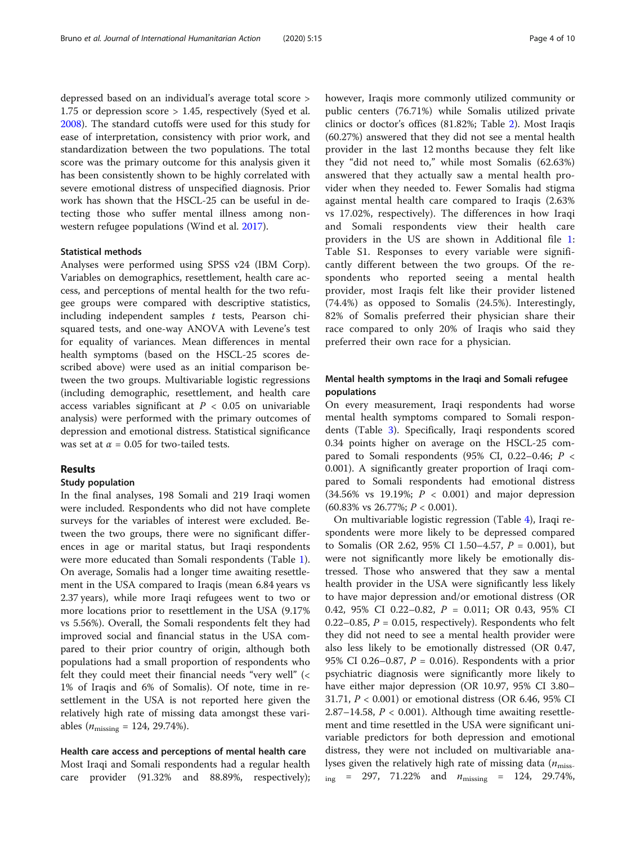depressed based on an individual's average total score > 1.75 or depression score > 1.45, respectively (Syed et al. [2008](#page-8-0)). The standard cutoffs were used for this study for ease of interpretation, consistency with prior work, and standardization between the two populations. The total score was the primary outcome for this analysis given it has been consistently shown to be highly correlated with severe emotional distress of unspecified diagnosis. Prior work has shown that the HSCL-25 can be useful in detecting those who suffer mental illness among nonwestern refugee populations (Wind et al. [2017](#page-9-0)).

# Statistical methods

Analyses were performed using SPSS v24 (IBM Corp). Variables on demographics, resettlement, health care access, and perceptions of mental health for the two refugee groups were compared with descriptive statistics, including independent samples  $t$  tests, Pearson chisquared tests, and one-way ANOVA with Levene's test for equality of variances. Mean differences in mental health symptoms (based on the HSCL-25 scores described above) were used as an initial comparison between the two groups. Multivariable logistic regressions (including demographic, resettlement, and health care access variables significant at  $P < 0.05$  on univariable analysis) were performed with the primary outcomes of depression and emotional distress. Statistical significance was set at  $\alpha = 0.05$  for two-tailed tests.

# Results

# Study population

In the final analyses, 198 Somali and 219 Iraqi women were included. Respondents who did not have complete surveys for the variables of interest were excluded. Between the two groups, there were no significant differences in age or marital status, but Iraqi respondents were more educated than Somali respondents (Table [1](#page-4-0)). On average, Somalis had a longer time awaiting resettlement in the USA compared to Iraqis (mean 6.84 years vs 2.37 years), while more Iraqi refugees went to two or more locations prior to resettlement in the USA (9.17% vs 5.56%). Overall, the Somali respondents felt they had improved social and financial status in the USA compared to their prior country of origin, although both populations had a small proportion of respondents who felt they could meet their financial needs "very well" (< 1% of Iraqis and 6% of Somalis). Of note, time in resettlement in the USA is not reported here given the relatively high rate of missing data amongst these variables ( $n_{\text{missing}} = 124, 29.74\%$ ).

# Health care access and perceptions of mental health care

Most Iraqi and Somali respondents had a regular health care provider (91.32% and 88.89%, respectively); however, Iraqis more commonly utilized community or public centers (76.71%) while Somalis utilized private clinics or doctor's offices (81.82%; Table [2\)](#page-5-0). Most Iraqis (60.27%) answered that they did not see a mental health provider in the last 12 months because they felt like they "did not need to," while most Somalis (62.63%) answered that they actually saw a mental health provider when they needed to. Fewer Somalis had stigma against mental health care compared to Iraqis (2.63% vs 17.02%, respectively). The differences in how Iraqi and Somali respondents view their health care providers in the US are shown in Additional file [1](#page-7-0): Table S1. Responses to every variable were significantly different between the two groups. Of the respondents who reported seeing a mental health provider, most Iraqis felt like their provider listened (74.4%) as opposed to Somalis (24.5%). Interestingly, 82% of Somalis preferred their physician share their race compared to only 20% of Iraqis who said they preferred their own race for a physician.

# Mental health symptoms in the Iraqi and Somali refugee populations

On every measurement, Iraqi respondents had worse mental health symptoms compared to Somali respondents (Table [3\)](#page-5-0). Specifically, Iraqi respondents scored 0.34 points higher on average on the HSCL-25 compared to Somali respondents (95% CI, 0.22-0.46;  $P <$ 0.001). A significantly greater proportion of Iraqi compared to Somali respondents had emotional distress  $(34.56\%$  vs 19.19%;  $P < 0.001$ ) and major depression  $(60.83\% \text{ vs } 26.77\%; P < 0.001).$ 

On multivariable logistic regression (Table [4](#page-6-0)), Iraqi respondents were more likely to be depressed compared to Somalis (OR 2.62, 95% CI 1.50–4.57,  $P = 0.001$ ), but were not significantly more likely be emotionally distressed. Those who answered that they saw a mental health provider in the USA were significantly less likely to have major depression and/or emotional distress (OR 0.42, 95% CI 0.22–0.82, P = 0.011; OR 0.43, 95% CI 0.22–0.85,  $P = 0.015$ , respectively). Respondents who felt they did not need to see a mental health provider were also less likely to be emotionally distressed (OR 0.47, 95% CI 0.26–0.87,  $P = 0.016$ ). Respondents with a prior psychiatric diagnosis were significantly more likely to have either major depression (OR 10.97, 95% CI 3.80– 31.71, P < 0.001) or emotional distress (OR 6.46, 95% CI 2.87–14.58,  $P < 0.001$ ). Although time awaiting resettlement and time resettled in the USA were significant univariable predictors for both depression and emotional distress, they were not included on multivariable analyses given the relatively high rate of missing data  $(n_{\text{miss}})$  $i_{\text{ing}}$  = 297, 71.22% and  $n_{\text{missing}}$  = 124, 29.74%,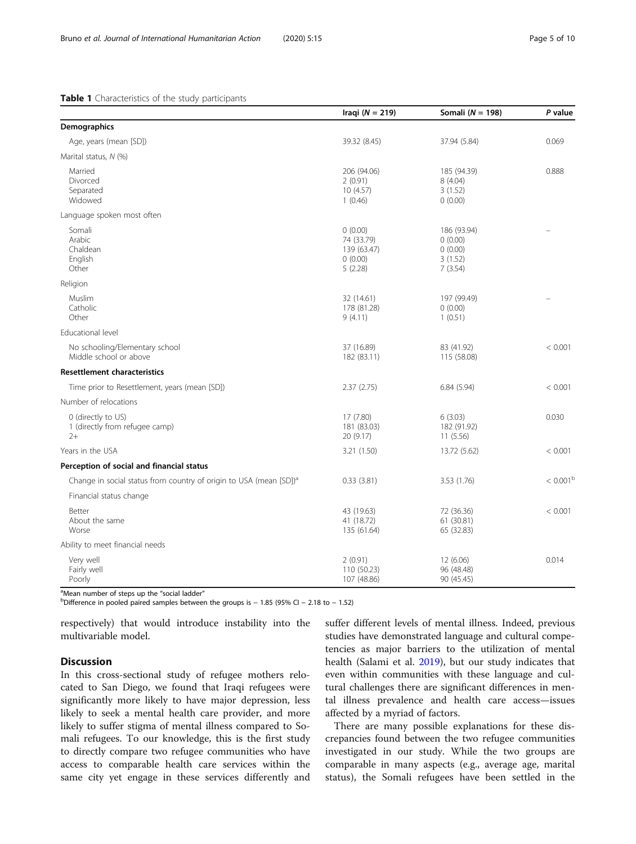# <span id="page-4-0"></span>Table 1 Characteristics of the study participants

|                                                                                | Iraqi ( $N = 219$ )                                        | Somali ( $N = 198$ )                                    | P value           |
|--------------------------------------------------------------------------------|------------------------------------------------------------|---------------------------------------------------------|-------------------|
| Demographics                                                                   |                                                            |                                                         |                   |
| Age, years (mean [SD])                                                         | 39.32 (8.45)                                               | 37.94 (5.84)                                            | 0.069             |
| Marital status, N (%)                                                          |                                                            |                                                         |                   |
| Married<br>Divorced<br>Separated<br>Widowed                                    | 206 (94.06)<br>2(0.91)<br>10(4.57)<br>1(0.46)              | 185 (94.39)<br>8 (4.04)<br>3(1.52)<br>0(0.00)           | 0.888             |
| Language spoken most often                                                     |                                                            |                                                         |                   |
| Somali<br>Arabic<br>Chaldean<br>English<br>Other                               | 0(0.00)<br>74 (33.79)<br>139 (63.47)<br>0(0.00)<br>5(2.28) | 186 (93.94)<br>0(0.00)<br>0(0.00)<br>3(1.52)<br>7(3.54) |                   |
| Religion                                                                       |                                                            |                                                         |                   |
| <b>Muslim</b><br>Catholic<br>Other                                             | 32 (14.61)<br>178 (81.28)<br>9(4.11)                       | 197 (99.49)<br>0(0.00)<br>1(0.51)                       |                   |
| Educational level                                                              |                                                            |                                                         |                   |
| No schooling/Elementary school<br>Middle school or above                       | 37 (16.89)<br>182 (83.11)                                  | 83 (41.92)<br>115 (58.08)                               | < 0.001           |
| <b>Resettlement characteristics</b>                                            |                                                            |                                                         |                   |
| Time prior to Resettlement, years (mean [SD])                                  | 2.37(2.75)                                                 | 6.84(5.94)                                              | < 0.001           |
| Number of relocations                                                          |                                                            |                                                         |                   |
| 0 (directly to US)<br>1 (directly from refugee camp)<br>$2+$                   | 17 (7.80)<br>181 (83.03)<br>20 (9.17)                      | 6(3.03)<br>182 (91.92)<br>11(5.56)                      | 0.030             |
| Years in the USA                                                               | 3.21 (1.50)                                                | 13.72 (5.62)                                            | < 0.001           |
| Perception of social and financial status                                      |                                                            |                                                         |                   |
| Change in social status from country of origin to USA (mean [SD]) <sup>a</sup> | 0.33(3.81)                                                 | 3.53(1.76)                                              | $< 0.001^{\rm b}$ |
| Financial status change                                                        |                                                            |                                                         |                   |
| Better<br>About the same<br>Worse                                              | 43 (19.63)<br>41 (18.72)<br>135 (61.64)                    | 72 (36.36)<br>61 (30.81)<br>65 (32.83)                  | < 0.001           |
| Ability to meet financial needs                                                |                                                            |                                                         |                   |
| Very well<br>Fairly well<br>Poorly                                             | 2(0.91)<br>110 (50.23)<br>107 (48.86)                      | 12 (6.06)<br>96 (48.48)<br>90 (45.45)                   | 0.014             |

<sup>a</sup>Mean number of steps up the "social ladder"<br><sup>b</sup>Difference in pooled paired samples between

 $D$  Difference in pooled paired samples between the groups is  $-1.85$  (95% CI  $-2.18$  to  $-1.52$ )

respectively) that would introduce instability into the multivariable model.

# **Discussion**

In this cross-sectional study of refugee mothers relocated to San Diego, we found that Iraqi refugees were significantly more likely to have major depression, less likely to seek a mental health care provider, and more likely to suffer stigma of mental illness compared to Somali refugees. To our knowledge, this is the first study to directly compare two refugee communities who have access to comparable health care services within the same city yet engage in these services differently and

suffer different levels of mental illness. Indeed, previous studies have demonstrated language and cultural competencies as major barriers to the utilization of mental health (Salami et al. [2019](#page-8-0)), but our study indicates that even within communities with these language and cultural challenges there are significant differences in mental illness prevalence and health care access—issues affected by a myriad of factors.

There are many possible explanations for these discrepancies found between the two refugee communities investigated in our study. While the two groups are comparable in many aspects (e.g., average age, marital status), the Somali refugees have been settled in the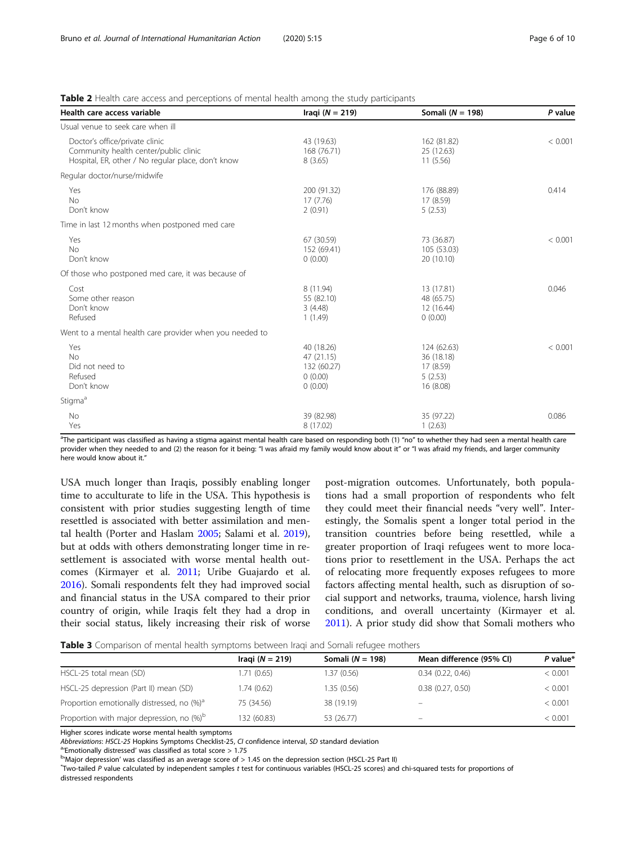# <span id="page-5-0"></span>Table 2 Health care access and perceptions of mental health among the study participants

| Health care access variable                                                                                                   | Iraqi ( $N = 219$ )                                           | Somali ( $N = 198$ )                                           | P value |
|-------------------------------------------------------------------------------------------------------------------------------|---------------------------------------------------------------|----------------------------------------------------------------|---------|
| Usual venue to seek care when ill                                                                                             |                                                               |                                                                |         |
| Doctor's office/private clinic<br>Community health center/public clinic<br>Hospital, ER, other / No regular place, don't know | 43 (19.63)<br>168 (76.71)<br>8(3.65)                          | 162 (81.82)<br>25 (12.63)<br>11(5.56)                          | < 0.001 |
| Regular doctor/nurse/midwife                                                                                                  |                                                               |                                                                |         |
| Yes<br><b>No</b><br>Don't know                                                                                                | 200 (91.32)<br>17 (7.76)<br>2(0.91)                           | 176 (88.89)<br>17 (8.59)<br>5(2.53)                            | 0.414   |
| Time in last 12 months when postponed med care                                                                                |                                                               |                                                                |         |
| Yes<br><b>No</b><br>Don't know                                                                                                | 67 (30.59)<br>152 (69.41)<br>0(0.00)                          | 73 (36.87)<br>105 (53.03)<br>20 (10.10)                        | < 0.001 |
| Of those who postponed med care, it was because of                                                                            |                                                               |                                                                |         |
| Cost<br>Some other reason<br>Don't know<br>Refused                                                                            | 8 (11.94)<br>55 (82.10)<br>3(4.48)<br>1(1.49)                 | 13 (17.81)<br>48 (65.75)<br>12 (16.44)<br>0(0.00)              | 0.046   |
| Went to a mental health care provider when you needed to                                                                      |                                                               |                                                                |         |
| Yes<br><b>No</b><br>Did not need to<br>Refused<br>Don't know                                                                  | 40 (18.26)<br>47 (21.15)<br>132 (60.27)<br>0(0.00)<br>0(0.00) | 124 (62.63)<br>36 (18.18)<br>17 (8.59)<br>5(2.53)<br>16 (8.08) | < 0.001 |
| Stigma <sup>a</sup>                                                                                                           |                                                               |                                                                |         |
| <b>No</b><br>Yes                                                                                                              | 39 (82.98)<br>8 (17.02)                                       | 35 (97.22)<br>1(2.63)                                          | 0.086   |

<sup>a</sup>The participant was classified as having a stigma against mental health care based on responding both (1) "no" to whether they had seen a mental health care provider when they needed to and (2) the reason for it being: "I was afraid my family would know about it" or "I was afraid my friends, and larger community here would know about it."

USA much longer than Iraqis, possibly enabling longer time to acculturate to life in the USA. This hypothesis is consistent with prior studies suggesting length of time resettled is associated with better assimilation and mental health (Porter and Haslam [2005;](#page-8-0) Salami et al. [2019](#page-8-0)), but at odds with others demonstrating longer time in resettlement is associated with worse mental health outcomes (Kirmayer et al. [2011](#page-8-0); Uribe Guajardo et al. [2016](#page-9-0)). Somali respondents felt they had improved social and financial status in the USA compared to their prior country of origin, while Iraqis felt they had a drop in their social status, likely increasing their risk of worse post-migration outcomes. Unfortunately, both populations had a small proportion of respondents who felt they could meet their financial needs "very well". Interestingly, the Somalis spent a longer total period in the transition countries before being resettled, while a greater proportion of Iraqi refugees went to more locations prior to resettlement in the USA. Perhaps the act of relocating more frequently exposes refugees to more factors affecting mental health, such as disruption of social support and networks, trauma, violence, harsh living conditions, and overall uncertainty (Kirmayer et al. [2011](#page-8-0)). A prior study did show that Somali mothers who

Table 3 Comparison of mental health symptoms between Iraqi and Somali refugee mothers

|                                                        | Iraqi ( $N = 219$ ) | Somali ( $N = 198$ ) | Mean difference (95% CI) | $P$ value* |
|--------------------------------------------------------|---------------------|----------------------|--------------------------|------------|
| HSCL-25 total mean (SD)                                | 1.71 (0.65)         | 1.37 (0.56)          | 0.34(0.22, 0.46)         | < 0.001    |
| HSCL-25 depression (Part II) mean (SD)                 | 1.74 (0.62)         | 1.35 (0.56)          | 0.38(0.27, 0.50)         | < 0.001    |
| Proportion emotionally distressed, no (%) <sup>a</sup> | 75 (34.56)          | 38 (19.19)           | $\overline{\phantom{0}}$ | < 0.001    |
| Proportion with major depression, no (%) <sup>b</sup>  | 132 (60.83)         | 53 (26.77)           | -                        | < 0.001    |

Higher scores indicate worse mental health symptoms

Abbreviations: HSCL-25 Hopkins Symptoms Checklist-25, CI confidence interval, SD standard deviation

 $a$ <sup>c</sup>Emotionally distressed' was classified as total score  $> 1.75$ 

 $^{b}$ 'Major depression' was classified as an average score of  $> 1.45$  on the depression section (HSCL-25 Part II)

Two-tailed P value calculated by independent samples t test for continuous variables (HSCL-25 scores) and chi-squared tests for proportions of distressed respondents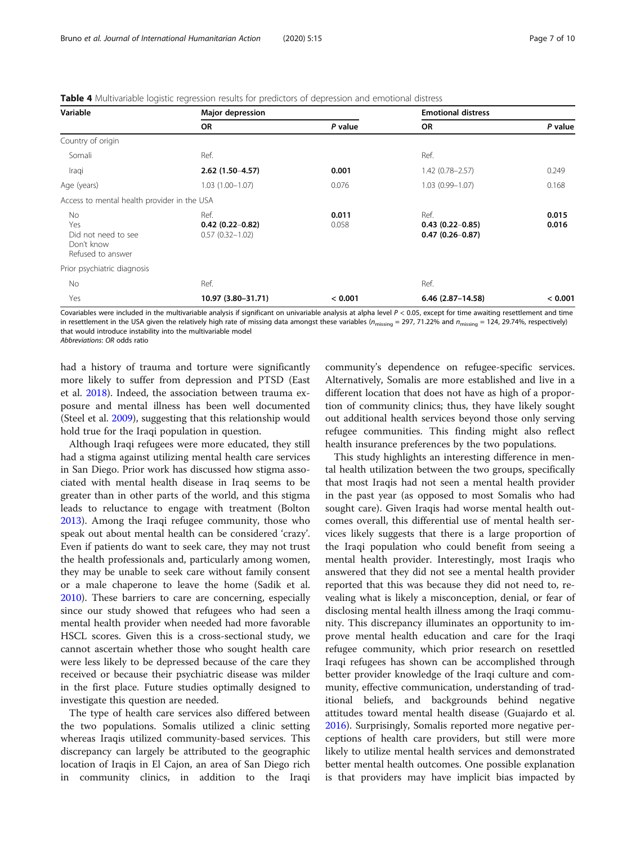<span id="page-6-0"></span>

| Table 4 Multivariable logistic regression results for predictors of depression and emotional distress |  |
|-------------------------------------------------------------------------------------------------------|--|
|-------------------------------------------------------------------------------------------------------|--|

| Variable                                                             | Major depression                                 |                | <b>Emotional distress</b>                          |                |
|----------------------------------------------------------------------|--------------------------------------------------|----------------|----------------------------------------------------|----------------|
|                                                                      | <b>OR</b>                                        | P value        | OR                                                 | P value        |
| Country of origin                                                    |                                                  |                |                                                    |                |
| Somali                                                               | Ref.                                             |                | Ref.                                               |                |
| Iraqi                                                                | $2.62(1.50-4.57)$                                | 0.001          | $1.42(0.78 - 2.57)$                                | 0.249          |
| Age (years)                                                          | $1.03(1.00 - 1.07)$                              | 0.076          | $1.03(0.99 - 1.07)$                                | 0.168          |
| Access to mental health provider in the USA                          |                                                  |                |                                                    |                |
| No.<br>Yes<br>Did not need to see<br>Don't know<br>Refused to answer | Ref.<br>$0.42(0.22-0.82)$<br>$0.57(0.32 - 1.02)$ | 0.011<br>0.058 | Ref.<br>$0.43(0.22 - 0.85)$<br>$0.47(0.26 - 0.87)$ | 0.015<br>0.016 |
| Prior psychiatric diagnosis                                          |                                                  |                |                                                    |                |
| No                                                                   | Ref.                                             |                | Ref.                                               |                |
| Yes                                                                  | 10.97 (3.80-31.71)                               | < 0.001        | $6.46$ (2.87-14.58)                                | < 0.001        |

Covariables were included in the multivariable analysis if significant on univariable analysis at alpha level  $P < 0.05$ , except for time awaiting resettlement and time in resettlement in the USA given the relatively high rate of missing data amongst these variables ( $n_{\text{missing}} = 297, 71.22\%$  and  $n_{\text{missing}} = 124, 29.74\%$ , respectively) that would introduce instability into the multivariable model Abbreviations: OR odds ratio

had a history of trauma and torture were significantly more likely to suffer from depression and PTSD (East et al. [2018](#page-8-0)). Indeed, the association between trauma exposure and mental illness has been well documented (Steel et al. [2009](#page-8-0)), suggesting that this relationship would hold true for the Iraqi population in question.

Although Iraqi refugees were more educated, they still had a stigma against utilizing mental health care services in San Diego. Prior work has discussed how stigma associated with mental health disease in Iraq seems to be greater than in other parts of the world, and this stigma leads to reluctance to engage with treatment (Bolton [2013](#page-8-0)). Among the Iraqi refugee community, those who speak out about mental health can be considered 'crazy'. Even if patients do want to seek care, they may not trust the health professionals and, particularly among women, they may be unable to seek care without family consent or a male chaperone to leave the home (Sadik et al. [2010](#page-8-0)). These barriers to care are concerning, especially since our study showed that refugees who had seen a mental health provider when needed had more favorable HSCL scores. Given this is a cross-sectional study, we cannot ascertain whether those who sought health care were less likely to be depressed because of the care they received or because their psychiatric disease was milder in the first place. Future studies optimally designed to investigate this question are needed.

The type of health care services also differed between the two populations. Somalis utilized a clinic setting whereas Iraqis utilized community-based services. This discrepancy can largely be attributed to the geographic location of Iraqis in El Cajon, an area of San Diego rich in community clinics, in addition to the Iraqi

community's dependence on refugee-specific services. Alternatively, Somalis are more established and live in a different location that does not have as high of a proportion of community clinics; thus, they have likely sought out additional health services beyond those only serving refugee communities. This finding might also reflect health insurance preferences by the two populations.

This study highlights an interesting difference in mental health utilization between the two groups, specifically that most Iraqis had not seen a mental health provider in the past year (as opposed to most Somalis who had sought care). Given Iraqis had worse mental health outcomes overall, this differential use of mental health services likely suggests that there is a large proportion of the Iraqi population who could benefit from seeing a mental health provider. Interestingly, most Iraqis who answered that they did not see a mental health provider reported that this was because they did not need to, revealing what is likely a misconception, denial, or fear of disclosing mental health illness among the Iraqi community. This discrepancy illuminates an opportunity to improve mental health education and care for the Iraqi refugee community, which prior research on resettled Iraqi refugees has shown can be accomplished through better provider knowledge of the Iraqi culture and community, effective communication, understanding of traditional beliefs, and backgrounds behind negative attitudes toward mental health disease (Guajardo et al. [2016](#page-8-0)). Surprisingly, Somalis reported more negative perceptions of health care providers, but still were more likely to utilize mental health services and demonstrated better mental health outcomes. One possible explanation is that providers may have implicit bias impacted by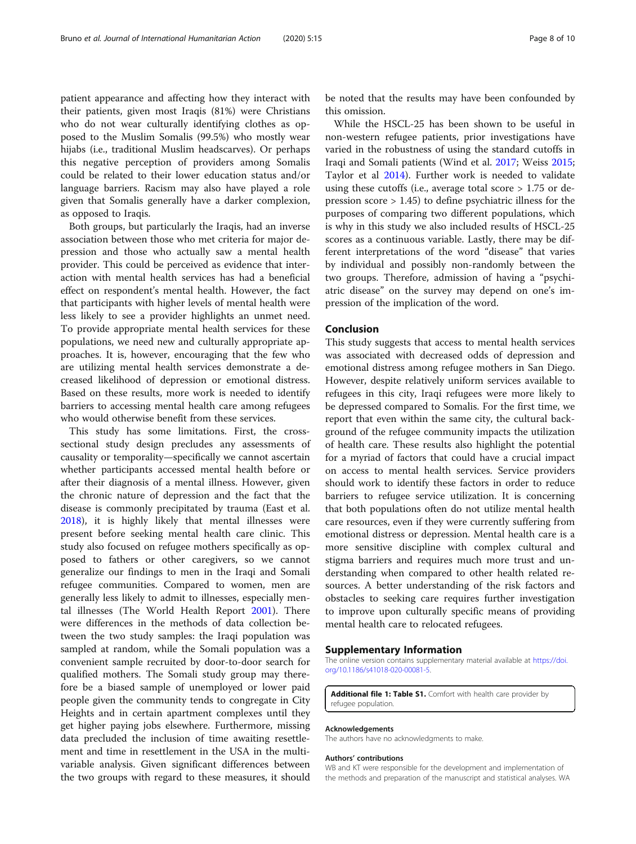<span id="page-7-0"></span>patient appearance and affecting how they interact with their patients, given most Iraqis (81%) were Christians who do not wear culturally identifying clothes as opposed to the Muslim Somalis (99.5%) who mostly wear hijabs (i.e., traditional Muslim headscarves). Or perhaps this negative perception of providers among Somalis could be related to their lower education status and/or language barriers. Racism may also have played a role given that Somalis generally have a darker complexion, as opposed to Iraqis.

Both groups, but particularly the Iraqis, had an inverse association between those who met criteria for major depression and those who actually saw a mental health provider. This could be perceived as evidence that interaction with mental health services has had a beneficial effect on respondent's mental health. However, the fact that participants with higher levels of mental health were less likely to see a provider highlights an unmet need. To provide appropriate mental health services for these populations, we need new and culturally appropriate approaches. It is, however, encouraging that the few who are utilizing mental health services demonstrate a decreased likelihood of depression or emotional distress. Based on these results, more work is needed to identify barriers to accessing mental health care among refugees who would otherwise benefit from these services.

This study has some limitations. First, the crosssectional study design precludes any assessments of causality or temporality—specifically we cannot ascertain whether participants accessed mental health before or after their diagnosis of a mental illness. However, given the chronic nature of depression and the fact that the disease is commonly precipitated by trauma (East et al. [2018](#page-8-0)), it is highly likely that mental illnesses were present before seeking mental health care clinic. This study also focused on refugee mothers specifically as opposed to fathers or other caregivers, so we cannot generalize our findings to men in the Iraqi and Somali refugee communities. Compared to women, men are generally less likely to admit to illnesses, especially mental illnesses (The World Health Report [2001](#page-8-0)). There were differences in the methods of data collection between the two study samples: the Iraqi population was sampled at random, while the Somali population was a convenient sample recruited by door-to-door search for qualified mothers. The Somali study group may therefore be a biased sample of unemployed or lower paid people given the community tends to congregate in City Heights and in certain apartment complexes until they get higher paying jobs elsewhere. Furthermore, missing data precluded the inclusion of time awaiting resettlement and time in resettlement in the USA in the multivariable analysis. Given significant differences between the two groups with regard to these measures, it should

be noted that the results may have been confounded by this omission.

While the HSCL-25 has been shown to be useful in non-western refugee patients, prior investigations have varied in the robustness of using the standard cutoffs in Iraqi and Somali patients (Wind et al. [2017;](#page-9-0) Weiss [2015](#page-9-0); Taylor et al [2014](#page-8-0)). Further work is needed to validate using these cutoffs (i.e., average total score  $> 1.75$  or depression score  $> 1.45$ ) to define psychiatric illness for the purposes of comparing two different populations, which is why in this study we also included results of HSCL-25 scores as a continuous variable. Lastly, there may be different interpretations of the word "disease" that varies by individual and possibly non-randomly between the two groups. Therefore, admission of having a "psychiatric disease" on the survey may depend on one's impression of the implication of the word.

# Conclusion

This study suggests that access to mental health services was associated with decreased odds of depression and emotional distress among refugee mothers in San Diego. However, despite relatively uniform services available to refugees in this city, Iraqi refugees were more likely to be depressed compared to Somalis. For the first time, we report that even within the same city, the cultural background of the refugee community impacts the utilization of health care. These results also highlight the potential for a myriad of factors that could have a crucial impact on access to mental health services. Service providers should work to identify these factors in order to reduce barriers to refugee service utilization. It is concerning that both populations often do not utilize mental health care resources, even if they were currently suffering from emotional distress or depression. Mental health care is a more sensitive discipline with complex cultural and stigma barriers and requires much more trust and understanding when compared to other health related resources. A better understanding of the risk factors and obstacles to seeking care requires further investigation to improve upon culturally specific means of providing mental health care to relocated refugees.

# Supplementary Information

The online version contains supplementary material available at [https://doi.](https://doi.org/10.1186/s41018-020-00081-5) [org/10.1186/s41018-020-00081-5.](https://doi.org/10.1186/s41018-020-00081-5)

Additional file 1: Table S1. Comfort with health care provider by refugee population.

### Acknowledgements

The authors have no acknowledgments to make.

#### Authors' contributions

WB and KT were responsible for the development and implementation of the methods and preparation of the manuscript and statistical analyses. WA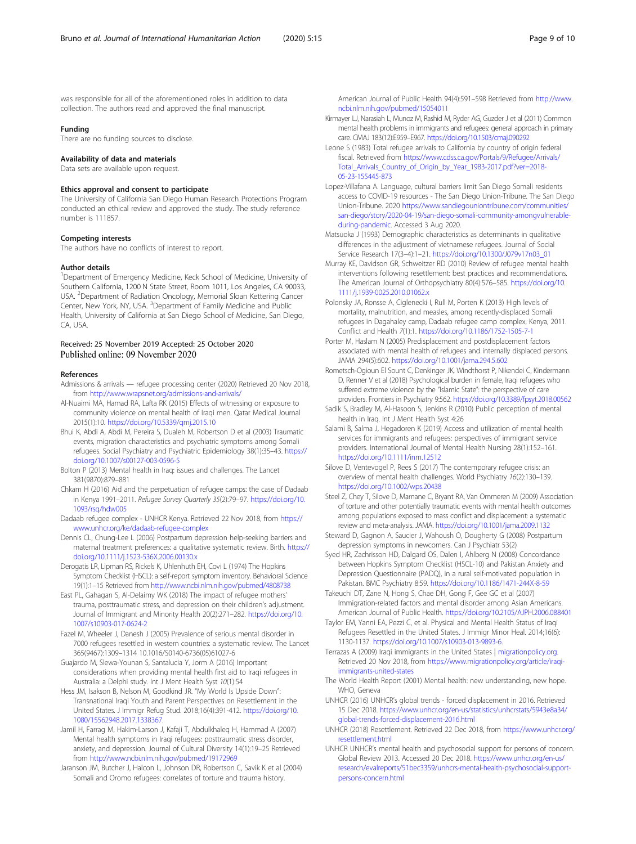<span id="page-8-0"></span>was responsible for all of the aforementioned roles in addition to data collection. The authors read and approved the final manuscript.

#### Funding

There are no funding sources to disclose.

#### Availability of data and materials

Data sets are available upon request.

#### Ethics approval and consent to participate

The University of California San Diego Human Research Protections Program conducted an ethical review and approved the study. The study reference number is 111857.

#### Competing interests

The authors have no conflicts of interest to report.

#### Author details

<sup>1</sup>Department of Emergency Medicine, Keck School of Medicine, University of Southern California, 1200 N State Street, Room 1011, Los Angeles, CA 90033, USA. <sup>2</sup> Department of Radiation Oncology, Memorial Sloan Kettering Cancer Center, New York, NY, USA. <sup>3</sup>Department of Family Medicine and Public Health, University of California at San Diego School of Medicine, San Diego, CA, USA.

# Received: 25 November 2019 Accepted: 25 October 2020

#### References

- Admissions & arrivals refugee processing center (2020) Retrieved 20 Nov 2018, from <http://www.wrapsnet.org/admissions-and-arrivals/>
- Al-Nuaimi MA, Hamad RA, Lafta RK (2015) Effects of witnessing or exposure to community violence on mental health of Iraqi men. Qatar Medical Journal 2015(1):10. <https://doi.org/10.5339/qmj.2015.10>
- Bhui K, Abdi A, Abdi M, Pereira S, Dualeh M, Robertson D et al (2003) Traumatic events, migration characteristics and psychiatric symptoms among Somali refugees. Social Psychiatry and Psychiatric Epidemiology 38(1):35–43. [https://](https://doi.org/10.1007/s00127-003-0596-5) [doi.org/10.1007/s00127-003-0596-5](https://doi.org/10.1007/s00127-003-0596-5)
- Bolton P (2013) Mental health in Iraq: issues and challenges. The Lancet 381(9870):879–881
- Chkam H (2016) Aid and the perpetuation of refugee camps: the case of Dadaab in Kenya 1991–2011. Refugee Survey Quarterly 35(2):79–97. [https://doi.org/10.](https://doi.org/10.1093/rsq/hdw005) [1093/rsq/hdw005](https://doi.org/10.1093/rsq/hdw005)
- Dadaab refugee complex UNHCR Kenya. Retrieved 22 Nov 2018, from [https://](https://www.unhcr.org/ke/dadaab-refugee-complex) [www.unhcr.org/ke/dadaab-refugee-complex](https://www.unhcr.org/ke/dadaab-refugee-complex)
- Dennis CL, Chung-Lee L (2006) Postpartum depression help-seeking barriers and maternal treatment preferences: a qualitative systematic review. Birth. [https://](https://doi.org/10.1111/j.1523-536X.2006.00130.x) [doi.org/10.1111/j.1523-536X.2006.00130.x](https://doi.org/10.1111/j.1523-536X.2006.00130.x)
- Derogatis LR, Lipman RS, Rickels K, Uhlenhuth EH, Covi L (1974) The Hopkins Symptom Checklist (HSCL): a self-report symptom inventory. Behavioral Science 19(1):1–15 Retrieved from <http://www.ncbi.nlm.nih.gov/pubmed/4808738>
- East PL, Gahagan S, Al-Delaimy WK (2018) The impact of refugee mothers' trauma, posttraumatic stress, and depression on their children's adjustment. Journal of Immigrant and Minority Health 20(2):271–282. [https://doi.org/10.](https://doi.org/10.1007/s10903-017-0624-2) [1007/s10903-017-0624-2](https://doi.org/10.1007/s10903-017-0624-2)
- Fazel M, Wheeler J, Danesh J (2005) Prevalence of serious mental disorder in 7000 refugees resettled in western countries: a systematic review. The Lancet 365(9467):1309–1314 10.1016/S0140-6736(05)61027-6
- Guajardo M, Slewa-Younan S, Santalucia Y, Jorm A (2016) Important considerations when providing mental health first aid to Iraqi refugees in Australia: a Delphi study. Int J Ment Health Syst 10(1):54
- Hess JM, Isakson B, Nelson M, Goodkind JR. "My World Is Upside Down": Transnational Iraqi Youth and Parent Perspectives on Resettlement in the United States. J Immigr Refug Stud. 2018;16(4):391-412. [https://doi.org/10.](https://doi.org/10.1080/15562948.2017.1338367) [1080/15562948.2017.1338367.](https://doi.org/10.1080/15562948.2017.1338367)
- Jamil H, Farrag M, Hakim-Larson J, Kafaji T, Abdulkhaleq H, Hammad A (2007) Mental health symptoms in Iraqi refugees: posttraumatic stress disorder, anxiety, and depression. Journal of Cultural Diversity 14(1):19–25 Retrieved from <http://www.ncbi.nlm.nih.gov/pubmed/19172969>
- Jaranson JM, Butcher J, Halcon L, Johnson DR, Robertson C, Savik K et al (2004) Somali and Oromo refugees: correlates of torture and trauma history.

American Journal of Public Health 94(4):591–598 Retrieved from [http://www.](http://www.ncbi.nlm.nih.gov/pubmed/15054011) [ncbi.nlm.nih.gov/pubmed/15054011](http://www.ncbi.nlm.nih.gov/pubmed/15054011)

- Kirmayer LJ, Narasiah L, Munoz M, Rashid M, Ryder AG, Guzder J et al (2011) Common mental health problems in immigrants and refugees: general approach in primary care. CMAJ 183(12):E959–E967. <https://doi.org/10.1503/cmaj.090292>
- Leone S (1983) Total refugee arrivals to California by country of origin federal fiscal. Retrieved from [https://www.cdss.ca.gov/Portals/9/Refugee/Arrivals/](https://www.cdss.ca.gov/Portals/9/Refugee/Arrivals/Total_Arrivals_Country_of_Origin_by_Year_1983-2017.pdf?ver=2018-05-23-155445-873) [Total\\_Arrivals\\_Country\\_of\\_Origin\\_by\\_Year\\_1983-2017.pdf?ver=2018-](https://www.cdss.ca.gov/Portals/9/Refugee/Arrivals/Total_Arrivals_Country_of_Origin_by_Year_1983-2017.pdf?ver=2018-05-23-155445-873) [05-23-155445-873](https://www.cdss.ca.gov/Portals/9/Refugee/Arrivals/Total_Arrivals_Country_of_Origin_by_Year_1983-2017.pdf?ver=2018-05-23-155445-873)
- Lopez-Villafana A. Language, cultural barriers limit San Diego Somali residents access to COVID-19 resources - The San Diego Union-Tribune. The San Diego Union-Tribune. 2020 [https://www.sandiegouniontribune.com/communities/](https://www.sandiegouniontribune.com/communities/san-diego/story/2020-04-19/san-diego-somali-community-amongvulnerable-during-pandemic) [san-diego/story/2020-04-19/san-diego-somali-community-amongvulnerable](https://www.sandiegouniontribune.com/communities/san-diego/story/2020-04-19/san-diego-somali-community-amongvulnerable-during-pandemic)[during-pandemic](https://www.sandiegouniontribune.com/communities/san-diego/story/2020-04-19/san-diego-somali-community-amongvulnerable-during-pandemic). Accessed 3 Aug 2020.
- Matsuoka J (1993) Demographic characteristics as determinants in qualitative differences in the adjustment of vietnamese refugees. Journal of Social Service Research 17(3–4):1–21. [https://doi.org/10.1300/J079v17n03\\_01](https://doi.org/10.1300/J079v17n03_01)
- Murray KE, Davidson GR, Schweitzer RD (2010) Review of refugee mental health interventions following resettlement: best practices and recommendations. The American Journal of Orthopsychiatry 80(4):576–585. [https://doi.org/10.](https://doi.org/10.1111/j.1939-0025.2010.01062.x) [1111/j.1939-0025.2010.01062.x](https://doi.org/10.1111/j.1939-0025.2010.01062.x)
- Polonsky JA, Ronsse A, Ciglenecki I, Rull M, Porten K (2013) High levels of mortality, malnutrition, and measles, among recently-displaced Somali refugees in Dagahaley camp, Dadaab refugee camp complex, Kenya, 2011. Conflict and Health 7(1):1. <https://doi.org/10.1186/1752-1505-7-1>
- Porter M, Haslam N (2005) Predisplacement and postdisplacement factors associated with mental health of refugees and internally displaced persons. JAMA 294(5):602. <https://doi.org/10.1001/jama.294.5.602>
- Rometsch-Ogioun El Sount C, Denkinger JK, Windthorst P, Nikendei C, Kindermann D, Renner V et al (2018) Psychological burden in female, Iraqi refugees who suffered extreme violence by the "Islamic State": the perspective of care providers. Frontiers in Psychiatry 9:562. <https://doi.org/10.3389/fpsyt.2018.00562>
- Sadik S, Bradley M, Al-Hasoon S, Jenkins R (2010) Public perception of mental health in Iraq. Int J Ment Health Syst 4:26
- Salami B, Salma J, Hegadoren K (2019) Access and utilization of mental health services for immigrants and refugees: perspectives of immigrant service providers. International Journal of Mental Health Nursing 28(1):152–161. <https://doi.org/10.1111/inm.12512>
- Silove D, Ventevogel P, Rees S (2017) The contemporary refugee crisis: an overview of mental health challenges. World Psychiatry 16(2):130–139. <https://doi.org/10.1002/wps.20438>
- Steel Z, Chey T, Silove D, Marnane C, Bryant RA, Van Ommeren M (2009) Association of torture and other potentially traumatic events with mental health outcomes among populations exposed to mass conflict and displacement: a systematic review and meta-analysis. JAMA. <https://doi.org/10.1001/jama.2009.1132>
- Steward D, Gagnon A, Saucier J, Wahoush O, Dougherty G (2008) Postpartum depression symptoms in newcomers. Can J Psychiatr 53(2)
- Syed HR, Zachrisson HD, Dalgard OS, Dalen I, Ahlberg N (2008) Concordance between Hopkins Symptom Checklist (HSCL-10) and Pakistan Anxiety and Depression Questionnaire (PADQ), in a rural self-motivated population in Pakistan. BMC Psychiatry 8:59. <https://doi.org/10.1186/1471-244X-8-59>
- Takeuchi DT, Zane N, Hong S, Chae DH, Gong F, Gee GC et al (2007) Immigration-related factors and mental disorder among Asian Americans. American Journal of Public Health. <https://doi.org/10.2105/AJPH.2006.088401>
- Taylor EM, Yanni EA, Pezzi C, et al. Physical and Mental Health Status of Iraqi Refugees Resettled in the United States. J Immigr Minor Heal. 2014;16(6): 1130-1137. [https://doi.org/10.1007/s10903-013-9893-6.](https://doi.org/10.1007/s10903-013-9893-6)
- Terrazas A (2009) Iraqi immigrants in the United States | [migrationpolicy.org.](http://migrationpolicy.org) Retrieved 20 Nov 2018, from [https://www.migrationpolicy.org/article/iraqi](https://www.migrationpolicy.org/article/iraqi-immigrants-united-states)[immigrants-united-states](https://www.migrationpolicy.org/article/iraqi-immigrants-united-states)
- The World Health Report (2001) Mental health: new understanding, new hope. WHO, Geneva
- UNHCR (2016) UNHCR's global trends forced displacement in 2016. Retrieved 15 Dec 2018. [https://www.unhcr.org/en-us/statistics/unhcrstats/5943e8a34/](https://www.unhcr.org/en-us/statistics/unhcrstats/5943e8a34/global-trends-forced-displacement-2016.html) [global-trends-forced-displacement-2016.html](https://www.unhcr.org/en-us/statistics/unhcrstats/5943e8a34/global-trends-forced-displacement-2016.html)
- UNHCR (2018) Resettlement. Retrieved 22 Dec 2018, from [https://www.unhcr.org/](https://www.unhcr.org/resettlement.html) [resettlement.html](https://www.unhcr.org/resettlement.html)
- UNHCR UNHCR's mental health and psychosocial support for persons of concern. Global Review 2013. Accessed 20 Dec 2018. [https://www.unhcr.org/en-us/](https://www.unhcr.org/en-us/research/evalreports/51bec3359/unhcrs-mental-health-psychosocial-support-persons-concern.html) [research/evalreports/51bec3359/unhcrs-mental-health-psychosocial-support](https://www.unhcr.org/en-us/research/evalreports/51bec3359/unhcrs-mental-health-psychosocial-support-persons-concern.html)[persons-concern.html](https://www.unhcr.org/en-us/research/evalreports/51bec3359/unhcrs-mental-health-psychosocial-support-persons-concern.html)